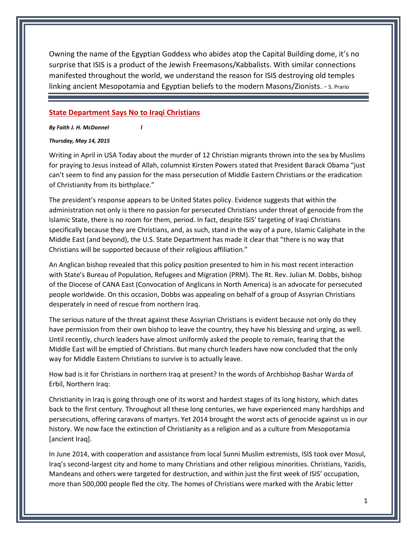Owning the name of the Egyptian Goddess who abides atop the Capital Building dome, it's no surprise that ISIS is a product of the Jewish Freemasons/Kabbalists. With similar connections manifested throughout the world, we understand the reason for ISIS destroying old temples linking ancient Mesopotamia and Egyptian beliefs to the modern Masons/Zionists. - S. Prario

## **State Department Says No to Iraqi Christians**

*By Faith J. H. McDonnel l*

## *Thursday, May 14, 2015*

Writing in April in USA Today about the murder of 12 Christian migrants thrown into the sea by Muslims for praying to Jesus instead of Allah, columnist Kirsten Powers stated that President Barack Obama "just can't seem to find any passion for the mass persecution of Middle Eastern Christians or the eradication of Christianity from its birthplace."

The president's response appears to be United States policy. Evidence suggests that within the administration not only is there no passion for persecuted Christians under threat of genocide from the Islamic State, there is no room for them, period. In fact, despite ISIS' targeting of Iraqi Christians specifically because they are Christians, and, as such, stand in the way of a pure, Islamic Caliphate in the Middle East (and beyond), the U.S. State Department has made it clear that "there is no way that Christians will be supported because of their religious affiliation."

An Anglican bishop revealed that this policy position presented to him in his most recent interaction with State's Bureau of Population, Refugees and Migration (PRM). The Rt. Rev. Julian M. Dobbs, bishop of the Diocese of CANA East (Convocation of Anglicans in North America) is an advocate for persecuted people worldwide. On this occasion, Dobbs was appealing on behalf of a group of Assyrian Christians desperately in need of rescue from northern Iraq.

The serious nature of the threat against these Assyrian Christians is evident because not only do they have permission from their own bishop to leave the country, they have his blessing and urging, as well. Until recently, church leaders have almost uniformly asked the people to remain, fearing that the Middle East will be emptied of Christians. But many church leaders have now concluded that the only way for Middle Eastern Christians to survive is to actually leave.

How bad is it for Christians in northern Iraq at present? In the words of Archbishop Bashar Warda of Erbil, Northern Iraq:

Christianity in Iraq is going through one of its worst and hardest stages of its long history, which dates back to the first century. Throughout all these long centuries, we have experienced many hardships and persecutions, offering caravans of martyrs. Yet 2014 brought the worst acts of genocide against us in our history. We now face the extinction of Christianity as a religion and as a culture from Mesopotamia [ancient Iraq].

In June 2014, with cooperation and assistance from local Sunni Muslim extremists, ISIS took over Mosul, Iraq's second-largest city and home to many Christians and other religious minorities. Christians, Yazidis, Mandeans and others were targeted for destruction, and within just the first week of ISIS' occupation, more than 500,000 people fled the city. The homes of Christians were marked with the Arabic letter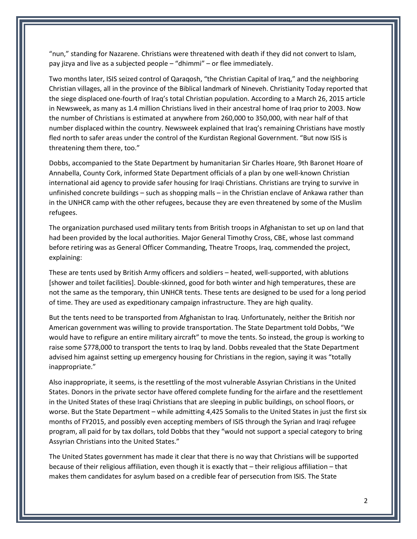"nun," standing for Nazarene. Christians were threatened with death if they did not convert to Islam, pay jizya and live as a subjected people – "dhimmi" – or flee immediately.

Two months later, ISIS seized control of Qaraqosh, "the Christian Capital of Iraq," and the neighboring Christian villages, all in the province of the Biblical landmark of Nineveh. Christianity Today reported that the siege displaced one-fourth of Iraq's total Christian population. According to a March 26, 2015 article in Newsweek, as many as 1.4 million Christians lived in their ancestral home of Iraq prior to 2003. Now the number of Christians is estimated at anywhere from 260,000 to 350,000, with near half of that number displaced within the country. Newsweek explained that Iraq's remaining Christians have mostly fled north to safer areas under the control of the Kurdistan Regional Government. "But now ISIS is threatening them there, too."

Dobbs, accompanied to the State Department by humanitarian Sir Charles Hoare, 9th Baronet Hoare of Annabella, County Cork, informed State Department officials of a plan by one well-known Christian international aid agency to provide safer housing for Iraqi Christians. Christians are trying to survive in unfinished concrete buildings – such as shopping malls – in the Christian enclave of Ankawa rather than in the UNHCR camp with the other refugees, because they are even threatened by some of the Muslim refugees.

The organization purchased used military tents from British troops in Afghanistan to set up on land that had been provided by the local authorities. Major General Timothy Cross, CBE, whose last command before retiring was as General Officer Commanding, Theatre Troops, Iraq, commended the project, explaining:

These are tents used by British Army officers and soldiers – heated, well-supported, with ablutions [shower and toilet facilities]. Double-skinned, good for both winter and high temperatures, these are not the same as the temporary, thin UNHCR tents. These tents are designed to be used for a long period of time. They are used as expeditionary campaign infrastructure. They are high quality.

But the tents need to be transported from Afghanistan to Iraq. Unfortunately, neither the British nor American government was willing to provide transportation. The State Department told Dobbs, "We would have to refigure an entire military aircraft" to move the tents. So instead, the group is working to raise some \$778,000 to transport the tents to Iraq by land. Dobbs revealed that the State Department advised him against setting up emergency housing for Christians in the region, saying it was "totally inappropriate."

Also inappropriate, it seems, is the resettling of the most vulnerable Assyrian Christians in the United States. Donors in the private sector have offered complete funding for the airfare and the resettlement in the United States of these Iraqi Christians that are sleeping in public buildings, on school floors, or worse. But the State Department – while admitting 4,425 Somalis to the United States in just the first six months of FY2015, and possibly even accepting members of ISIS through the Syrian and Iraqi refugee program, all paid for by tax dollars, told Dobbs that they "would not support a special category to bring Assyrian Christians into the United States."

The United States government has made it clear that there is no way that Christians will be supported because of their religious affiliation, even though it is exactly that – their religious affiliation – that makes them candidates for asylum based on a credible fear of persecution from ISIS. The State